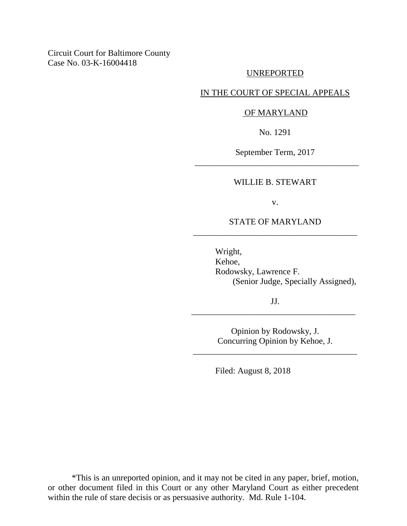# Circuit Court for Baltimore County Case No. 03-K-16004418

### UNREPORTED

### IN THE COURT OF SPECIAL APPEALS

#### OF MARYLAND

No. 1291

September Term, 2017 \_\_\_\_\_\_\_\_\_\_\_\_\_\_\_\_\_\_\_\_\_\_\_\_\_\_\_\_\_\_\_\_\_\_\_\_\_\_

#### WILLIE B. STEWART

v.

## STATE OF MARYLAND \_\_\_\_\_\_\_\_\_\_\_\_\_\_\_\_\_\_\_\_\_\_\_\_\_\_\_\_\_\_\_\_\_\_\_\_\_\_

Wright, Kehoe, Rodowsky, Lawrence F. (Senior Judge, Specially Assigned),

JJ. \_\_\_\_\_\_\_\_\_\_\_\_\_\_\_\_\_\_\_\_\_\_\_\_\_\_\_\_\_\_\_\_\_\_\_\_\_\_

> Opinion by Rodowsky, J. Concurring Opinion by Kehoe, J.

\_\_\_\_\_\_\_\_\_\_\_\_\_\_\_\_\_\_\_\_\_\_\_\_\_\_\_\_\_\_\_\_\_\_\_\_\_\_

Filed: August 8, 2018

\*This is an unreported opinion, and it may not be cited in any paper, brief, motion, or other document filed in this Court or any other Maryland Court as either precedent within the rule of stare decisis or as persuasive authority. Md. Rule 1-104.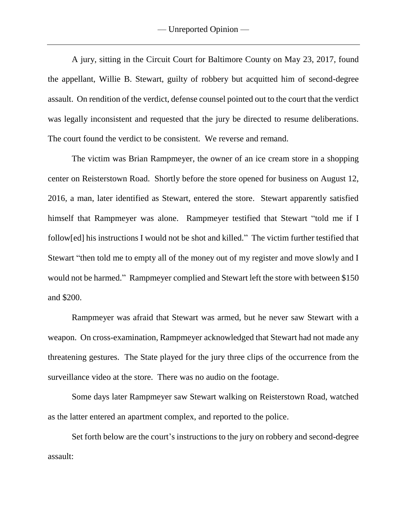A jury, sitting in the Circuit Court for Baltimore County on May 23, 2017, found the appellant, Willie B. Stewart, guilty of robbery but acquitted him of second-degree assault. On rendition of the verdict, defense counsel pointed out to the court that the verdict was legally inconsistent and requested that the jury be directed to resume deliberations. The court found the verdict to be consistent. We reverse and remand.

The victim was Brian Rampmeyer, the owner of an ice cream store in a shopping center on Reisterstown Road. Shortly before the store opened for business on August 12, 2016, a man, later identified as Stewart, entered the store. Stewart apparently satisfied himself that Rampmeyer was alone. Rampmeyer testified that Stewart "told me if I follow[ed] his instructions I would not be shot and killed." The victim further testified that Stewart "then told me to empty all of the money out of my register and move slowly and I would not be harmed." Rampmeyer complied and Stewart left the store with between \$150 and \$200.

Rampmeyer was afraid that Stewart was armed, but he never saw Stewart with a weapon. On cross-examination, Rampmeyer acknowledged that Stewart had not made any threatening gestures. The State played for the jury three clips of the occurrence from the surveillance video at the store. There was no audio on the footage.

Some days later Rampmeyer saw Stewart walking on Reisterstown Road, watched as the latter entered an apartment complex, and reported to the police.

Set forth below are the court's instructions to the jury on robbery and second-degree assault: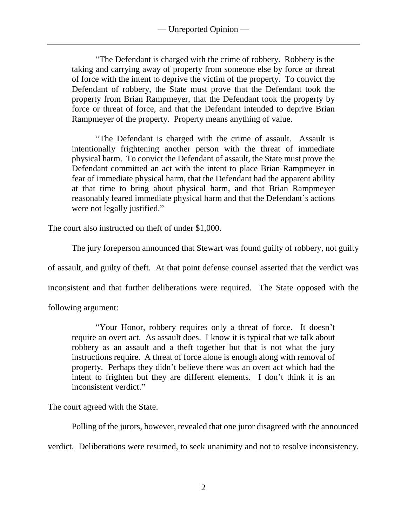"The Defendant is charged with the crime of robbery. Robbery is the taking and carrying away of property from someone else by force or threat of force with the intent to deprive the victim of the property. To convict the Defendant of robbery, the State must prove that the Defendant took the property from Brian Rampmeyer, that the Defendant took the property by force or threat of force, and that the Defendant intended to deprive Brian Rampmeyer of the property. Property means anything of value.

"The Defendant is charged with the crime of assault. Assault is intentionally frightening another person with the threat of immediate physical harm. To convict the Defendant of assault, the State must prove the Defendant committed an act with the intent to place Brian Rampmeyer in fear of immediate physical harm, that the Defendant had the apparent ability at that time to bring about physical harm, and that Brian Rampmeyer reasonably feared immediate physical harm and that the Defendant's actions were not legally justified."

The court also instructed on theft of under \$1,000.

The jury foreperson announced that Stewart was found guilty of robbery, not guilty

of assault, and guilty of theft. At that point defense counsel asserted that the verdict was

inconsistent and that further deliberations were required. The State opposed with the

following argument:

"Your Honor, robbery requires only a threat of force. It doesn't require an overt act. As assault does. I know it is typical that we talk about robbery as an assault and a theft together but that is not what the jury instructions require. A threat of force alone is enough along with removal of property. Perhaps they didn't believe there was an overt act which had the intent to frighten but they are different elements. I don't think it is an inconsistent verdict."

The court agreed with the State.

Polling of the jurors, however, revealed that one juror disagreed with the announced verdict. Deliberations were resumed, to seek unanimity and not to resolve inconsistency.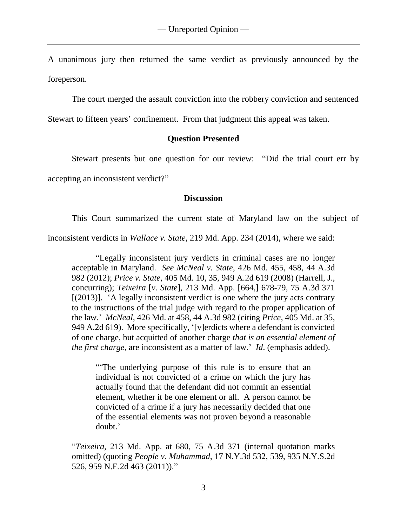A unanimous jury then returned the same verdict as previously announced by the foreperson.

The court merged the assault conviction into the robbery conviction and sentenced

Stewart to fifteen years' confinement. From that judgment this appeal was taken.

# **Question Presented**

Stewart presents but one question for our review: "Did the trial court err by

accepting an inconsistent verdict?"

## **Discussion**

This Court summarized the current state of Maryland law on the subject of

inconsistent verdicts in *Wallace v. State*, 219 Md. App. 234 (2014), where we said:

"Legally inconsistent jury verdicts in criminal cases are no longer acceptable in Maryland. *See McNeal v. State*, 426 Md. 455, 458, 44 A.3d 982 (2012); *Price v. State*, 405 Md. 10, 35, 949 A.2d 619 (2008) (Harrell, J., concurring); *Teixeira* [*v. State*], 213 Md. App. [664,] 678-79, 75 A.3d 371  $[(2013)]$ . 'A legally inconsistent verdict is one where the jury acts contrary to the instructions of the trial judge with regard to the proper application of the law.' *McNeal*, 426 Md. at 458, 44 A.3d 982 (citing *Price*, 405 Md. at 35, 949 A.2d 619). More specifically, '[v]erdicts where a defendant is convicted of one charge, but acquitted of another charge *that is an essential element of the first charge*, are inconsistent as a matter of law.' *Id*. (emphasis added).

"The underlying purpose of this rule is to ensure that an individual is not convicted of a crime on which the jury has actually found that the defendant did not commit an essential element, whether it be one element or all. A person cannot be convicted of a crime if a jury has necessarily decided that one of the essential elements was not proven beyond a reasonable doubt.'

"*Teixeira*, 213 Md. App. at 680, 75 A.3d 371 (internal quotation marks omitted) (quoting *People v. Muhammad*, 17 N.Y.3d 532, 539, 935 N.Y.S.2d 526, 959 N.E.2d 463 (2011))."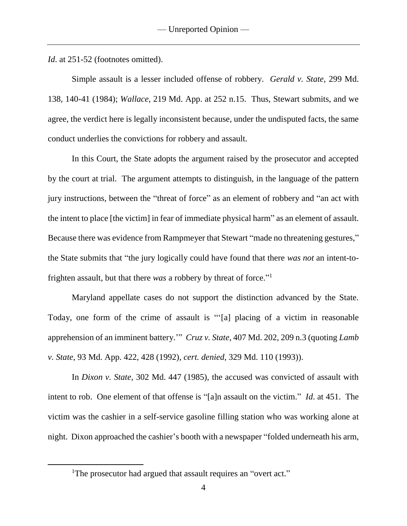*Id.* at 251-52 (footnotes omitted).

Simple assault is a lesser included offense of robbery. *Gerald v. State*, 299 Md. 138, 140-41 (1984); *Wallace*, 219 Md. App. at 252 n.15. Thus, Stewart submits, and we agree, the verdict here is legally inconsistent because, under the undisputed facts, the same conduct underlies the convictions for robbery and assault.

In this Court, the State adopts the argument raised by the prosecutor and accepted by the court at trial. The argument attempts to distinguish, in the language of the pattern jury instructions, between the "threat of force" as an element of robbery and "an act with the intent to place [the victim] in fear of immediate physical harm" as an element of assault. Because there was evidence from Rampmeyer that Stewart "made no threatening gestures," the State submits that "the jury logically could have found that there *was not* an intent-tofrighten assault, but that there *was* a robbery by threat of force." 1

Maryland appellate cases do not support the distinction advanced by the State. Today, one form of the crime of assault is "'[a] placing of a victim in reasonable apprehension of an imminent battery.'" *Cruz v. State*, 407 Md. 202, 209 n.3 (quoting *Lamb v. State*, 93 Md. App. 422, 428 (1992), *cert. denied*, 329 Md. 110 (1993)).

In *Dixon v. State*, 302 Md. 447 (1985), the accused was convicted of assault with intent to rob. One element of that offense is "[a]n assault on the victim." *Id*. at 451. The victim was the cashier in a self-service gasoline filling station who was working alone at night. Dixon approached the cashier's booth with a newspaper "folded underneath his arm,

 $\overline{a}$ 

<sup>&</sup>lt;sup>1</sup>The prosecutor had argued that assault requires an "overt act."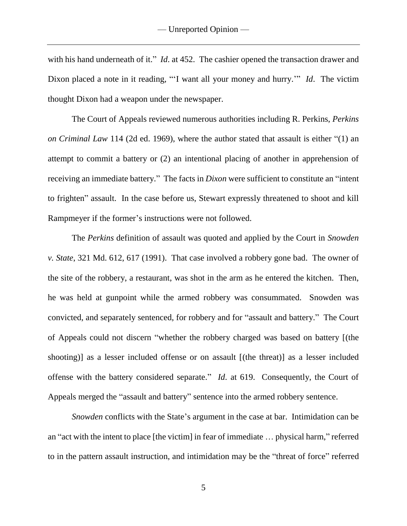with his hand underneath of it." *Id*. at 452. The cashier opened the transaction drawer and Dixon placed a note in it reading, "'I want all your money and hurry.'" *Id*. The victim thought Dixon had a weapon under the newspaper.

The Court of Appeals reviewed numerous authorities including R. Perkins, *Perkins on Criminal Law* 114 (2d ed. 1969), where the author stated that assault is either "(1) an attempt to commit a battery or (2) an intentional placing of another in apprehension of receiving an immediate battery." The facts in *Dixon* were sufficient to constitute an "intent to frighten" assault. In the case before us, Stewart expressly threatened to shoot and kill Rampmeyer if the former's instructions were not followed.

The *Perkins* definition of assault was quoted and applied by the Court in *Snowden v. State*, 321 Md. 612, 617 (1991). That case involved a robbery gone bad. The owner of the site of the robbery, a restaurant, was shot in the arm as he entered the kitchen. Then, he was held at gunpoint while the armed robbery was consummated. Snowden was convicted, and separately sentenced, for robbery and for "assault and battery." The Court of Appeals could not discern "whether the robbery charged was based on battery [(the shooting)] as a lesser included offense or on assault [(the threat)] as a lesser included offense with the battery considered separate." *Id*. at 619. Consequently, the Court of Appeals merged the "assault and battery" sentence into the armed robbery sentence.

*Snowden* conflicts with the State's argument in the case at bar. Intimidation can be an "act with the intent to place [the victim] in fear of immediate … physical harm," referred to in the pattern assault instruction, and intimidation may be the "threat of force" referred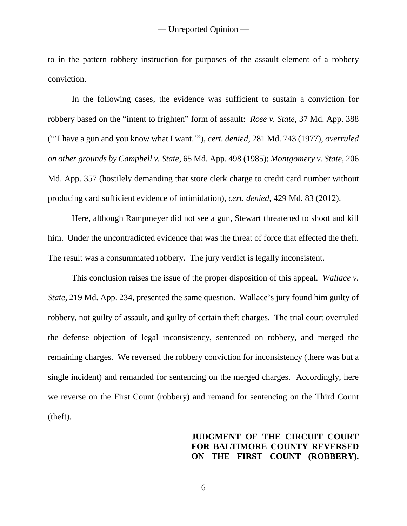to in the pattern robbery instruction for purposes of the assault element of a robbery conviction.

In the following cases, the evidence was sufficient to sustain a conviction for robbery based on the "intent to frighten" form of assault: *Rose v. State*, 37 Md. App. 388 ("'I have a gun and you know what I want.'"), *cert. denied*, 281 Md. 743 (1977), *overruled on other grounds by Campbell v. State*, 65 Md. App. 498 (1985); *Montgomery v. State*, 206 Md. App. 357 (hostilely demanding that store clerk charge to credit card number without producing card sufficient evidence of intimidation), *cert. denied*, 429 Md. 83 (2012).

Here, although Rampmeyer did not see a gun, Stewart threatened to shoot and kill him. Under the uncontradicted evidence that was the threat of force that effected the theft. The result was a consummated robbery. The jury verdict is legally inconsistent.

This conclusion raises the issue of the proper disposition of this appeal. *Wallace v. State*, 219 Md. App. 234, presented the same question. Wallace's jury found him guilty of robbery, not guilty of assault, and guilty of certain theft charges. The trial court overruled the defense objection of legal inconsistency, sentenced on robbery, and merged the remaining charges. We reversed the robbery conviction for inconsistency (there was but a single incident) and remanded for sentencing on the merged charges. Accordingly, here we reverse on the First Count (robbery) and remand for sentencing on the Third Count (theft).

# **JUDGMENT OF THE CIRCUIT COURT FOR BALTIMORE COUNTY REVERSED ON THE FIRST COUNT (ROBBERY).**

6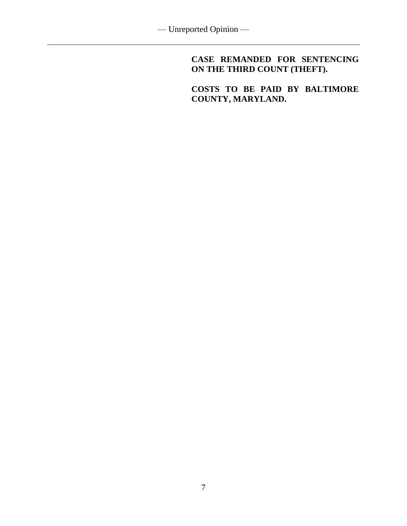**CASE REMANDED FOR SENTENCING ON THE THIRD COUNT (THEFT).**

**COSTS TO BE PAID BY BALTIMORE COUNTY, MARYLAND.**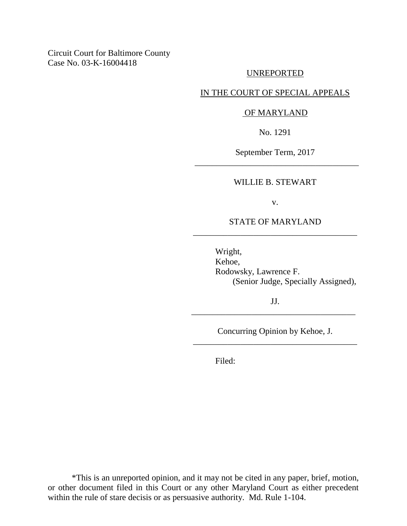# Circuit Court for Baltimore County Case No. 03-K-16004418

### UNREPORTED

### IN THE COURT OF SPECIAL APPEALS

### OF MARYLAND

No. 1291

September Term, 2017 \_\_\_\_\_\_\_\_\_\_\_\_\_\_\_\_\_\_\_\_\_\_\_\_\_\_\_\_\_\_\_\_\_\_\_\_\_\_

#### WILLIE B. STEWART

v.

## STATE OF MARYLAND \_\_\_\_\_\_\_\_\_\_\_\_\_\_\_\_\_\_\_\_\_\_\_\_\_\_\_\_\_\_\_\_\_\_\_\_\_\_

Wright, Kehoe, Rodowsky, Lawrence F. (Senior Judge, Specially Assigned),

JJ. \_\_\_\_\_\_\_\_\_\_\_\_\_\_\_\_\_\_\_\_\_\_\_\_\_\_\_\_\_\_\_\_\_\_\_\_\_\_

Concurring Opinion by Kehoe, J. \_\_\_\_\_\_\_\_\_\_\_\_\_\_\_\_\_\_\_\_\_\_\_\_\_\_\_\_\_\_\_\_\_\_\_\_\_\_

Filed:

\*This is an unreported opinion, and it may not be cited in any paper, brief, motion, or other document filed in this Court or any other Maryland Court as either precedent within the rule of stare decisis or as persuasive authority. Md. Rule 1-104.